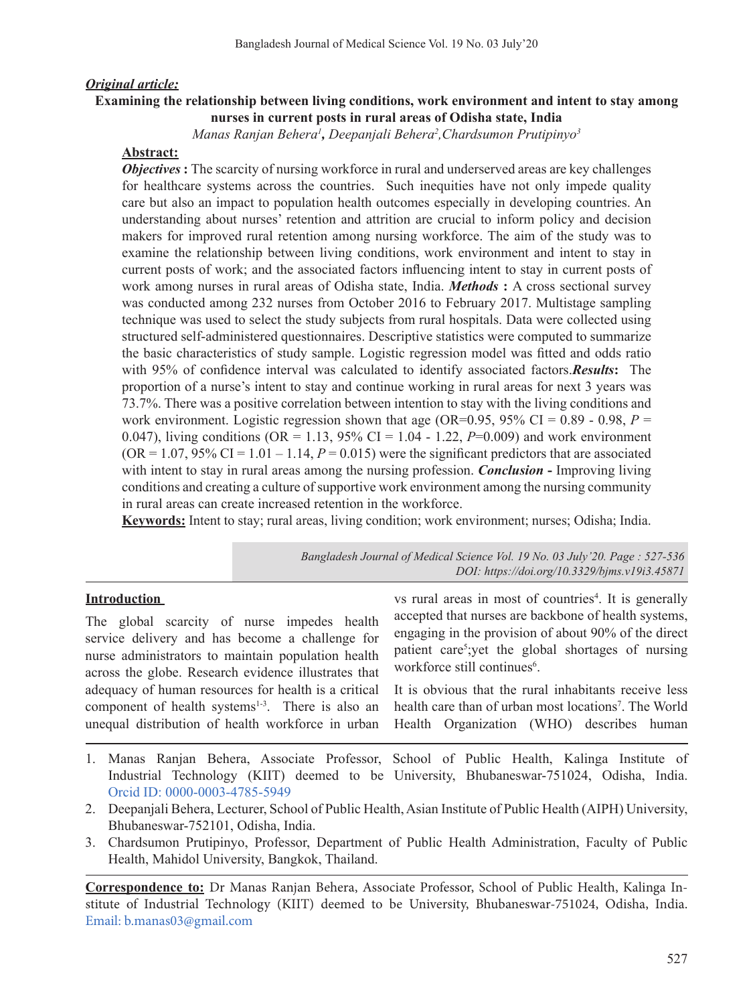#### *Original article:*

#### **Examining the relationship between living conditions, work environment and intent to stay among nurses in current posts in rural areas of Odisha state, India**

*Manas Ranjan Behera1 , Deepanjali Behera2 ,Chardsumon Prutipinyo3*

#### **Abstract:**

*Objectives*: The scarcity of nursing workforce in rural and underserved areas are key challenges for healthcare systems across the countries. Such inequities have not only impede quality care but also an impact to population health outcomes especially in developing countries. An understanding about nurses' retention and attrition are crucial to inform policy and decision makers for improved rural retention among nursing workforce. The aim of the study was to examine the relationship between living conditions, work environment and intent to stay in current posts of work; and the associated factors influencing intent to stay in current posts of work among nurses in rural areas of Odisha state, India. *Methods* **:** A cross sectional survey was conducted among 232 nurses from October 2016 to February 2017. Multistage sampling technique was used to select the study subjects from rural hospitals. Data were collected using structured self-administered questionnaires. Descriptive statistics were computed to summarize the basic characteristics of study sample. Logistic regression model was fitted and odds ratio with 95% of confidence interval was calculated to identify associated factors.*Results***:** The proportion of a nurse's intent to stay and continue working in rural areas for next 3 years was 73.7%. There was a positive correlation between intention to stay with the living conditions and work environment. Logistic regression shown that age (OR=0.95, 95% CI = 0.89 - 0.98,  $P =$ 0.047), living conditions (OR = 1.13, 95% CI = 1.04 - 1.22,  $P=0.009$ ) and work environment  $(OR = 1.07, 95\% \text{ CI} = 1.01 - 1.14, P = 0.015)$  were the significant predictors that are associated with intent to stay in rural areas among the nursing profession. *Conclusion* **-** Improving living conditions and creating a culture of supportive work environment among the nursing community in rural areas can create increased retention in the workforce.

**Keywords:** Intent to stay; rural areas, living condition; work environment; nurses; Odisha; India.

*Bangladesh Journal of Medical Science Vol. 19 No. 03 July'20. Page : 527-536 DOI: https://doi.org/10.3329/bjms.v19i3.45871*

#### **Introduction**

The global scarcity of nurse impedes health service delivery and has become a challenge for nurse administrators to maintain population health across the globe. Research evidence illustrates that adequacy of human resources for health is a critical component of health systems<sup>1-3</sup>. There is also an unequal distribution of health workforce in urban

vs rural areas in most of countries<sup>4</sup>. It is generally accepted that nurses are backbone of health systems, engaging in the provision of about 90% of the direct patient care<sup>5</sup>;yet the global shortages of nursing workforce still continues<sup>6</sup>.

It is obvious that the rural inhabitants receive less health care than of urban most locations<sup>7</sup>. The World Health Organization (WHO) describes human

- 1. Manas Ranjan Behera, Associate Professor, School of Public Health, Kalinga Institute of Industrial Technology (KIIT) deemed to be University, Bhubaneswar-751024, Odisha, India. Orcid ID: 0000-0003-4785-5949
- 2. Deepanjali Behera, Lecturer, School of Public Health, Asian Institute of Public Health (AIPH) University, Bhubaneswar-752101, Odisha, India.
- 3. Chardsumon Prutipinyo, Professor, Department of Public Health Administration, Faculty of Public Health, Mahidol University, Bangkok, Thailand.

**Correspondence to:** Dr Manas Ranjan Behera, Associate Professor, School of Public Health, Kalinga Institute of Industrial Technology (KIIT) deemed to be University, Bhubaneswar-751024, Odisha, India. Email: b.manas03@gmail.com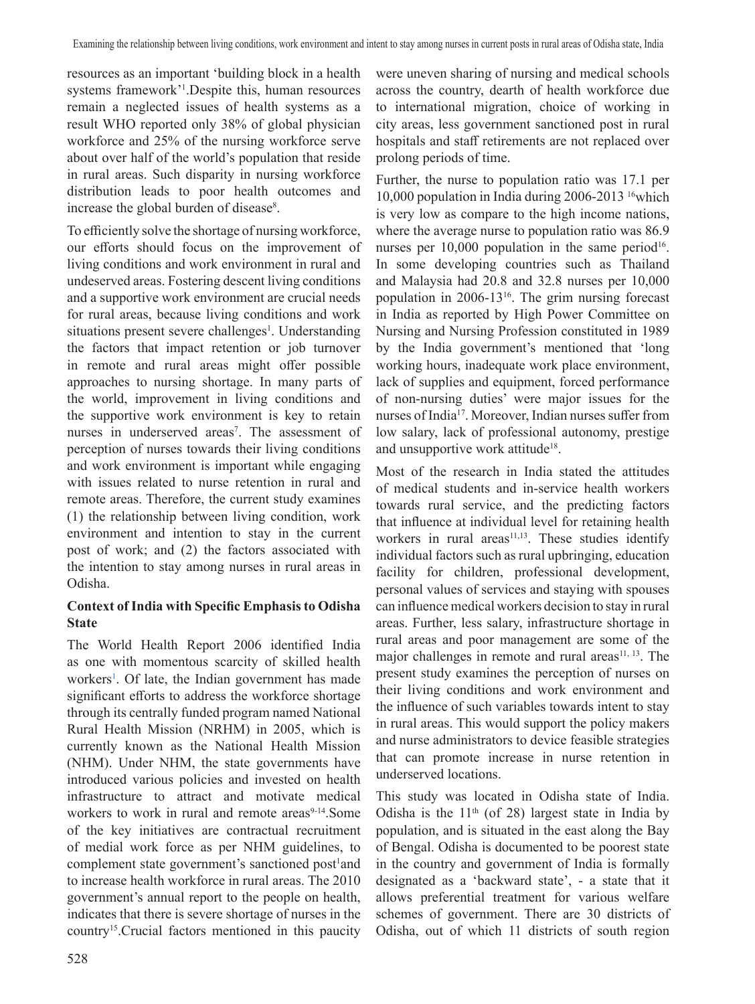resources as an important 'building block in a health systems framework'<sup>1</sup> .Despite this, human resources remain a neglected issues of health systems as a result WHO reported only 38% of global physician workforce and 25% of the nursing workforce serve about over half of the world's population that reside in rural areas. Such disparity in nursing workforce distribution leads to poor health outcomes and increase the global burden of disease<sup>8</sup>.

To efficiently solve the shortage of nursing workforce, our efforts should focus on the improvement of living conditions and work environment in rural and undeserved areas. Fostering descent living conditions and a supportive work environment are crucial needs for rural areas, because living conditions and work situations present severe challenges<sup>1</sup>. Understanding the factors that impact retention or job turnover in remote and rural areas might offer possible approaches to nursing shortage. In many parts of the world, improvement in living conditions and the supportive work environment is key to retain nurses in underserved areas<sup>7</sup>. The assessment of perception of nurses towards their living conditions and work environment is important while engaging with issues related to nurse retention in rural and remote areas. Therefore, the current study examines (1) the relationship between living condition, work environment and intention to stay in the current post of work; and (2) the factors associated with the intention to stay among nurses in rural areas in Odisha.

# **Context of India with Specific Emphasis to Odisha State**

The World Health Report 2006 identified India as one with momentous scarcity of skilled health workers<sup>1</sup>. Of late, the Indian government has made significant efforts to address the workforce shortage through its centrally funded program named National Rural Health Mission (NRHM) in 2005, which is currently known as the National Health Mission (NHM). Under NHM, the state governments have introduced various policies and invested on health infrastructure to attract and motivate medical workers to work in rural and remote areas<sup>9-14</sup>. Some of the key initiatives are contractual recruitment of medial work force as per NHM guidelines, to complement state government's sanctioned post<sup>1</sup>and to increase health workforce in rural areas. The 2010 government's annual report to the people on health, indicates that there is severe shortage of nurses in the country15.Crucial factors mentioned in this paucity

were uneven sharing of nursing and medical schools across the country, dearth of health workforce due to international migration, choice of working in city areas, less government sanctioned post in rural hospitals and staff retirements are not replaced over prolong periods of time.

Further, the nurse to population ratio was 17.1 per 10,000 population in India during  $2006-2013$  <sup>16</sup>which is very low as compare to the high income nations, where the average nurse to population ratio was 86.9 nurses per  $10,000$  population in the same period<sup>16</sup>. In some developing countries such as Thailand and Malaysia had 20.8 and 32.8 nurses per 10,000 population in  $2006-13^{16}$ . The grim nursing forecast in India as reported by High Power Committee on Nursing and Nursing Profession constituted in 1989 by the India government's mentioned that 'long working hours, inadequate work place environment, lack of supplies and equipment, forced performance of non-nursing duties' were major issues for the nurses of India<sup>17</sup>. Moreover, Indian nurses suffer from low salary, lack of professional autonomy, prestige and unsupportive work attitude<sup>18</sup>.

Most of the research in India stated the attitudes of medical students and in-service health workers towards rural service, and the predicting factors that influence at individual level for retaining health workers in rural areas $11,13$ . These studies identify individual factors such as rural upbringing, education facility for children, professional development, personal values of services and staying with spouses can influence medical workers decision to stay in rural areas. Further, less salary, infrastructure shortage in rural areas and poor management are some of the major challenges in remote and rural areas $11, 13$ . The present study examines the perception of nurses on their living conditions and work environment and the influence of such variables towards intent to stay in rural areas. This would support the policy makers and nurse administrators to device feasible strategies that can promote increase in nurse retention in underserved locations.

This study was located in Odisha state of India. Odisha is the  $11<sup>th</sup>$  (of 28) largest state in India by population, and is situated in the east along the Bay of Bengal. Odisha is documented to be poorest state in the country and government of India is formally designated as a 'backward state', - a state that it allows preferential treatment for various welfare schemes of government. There are 30 districts of Odisha, out of which 11 districts of south region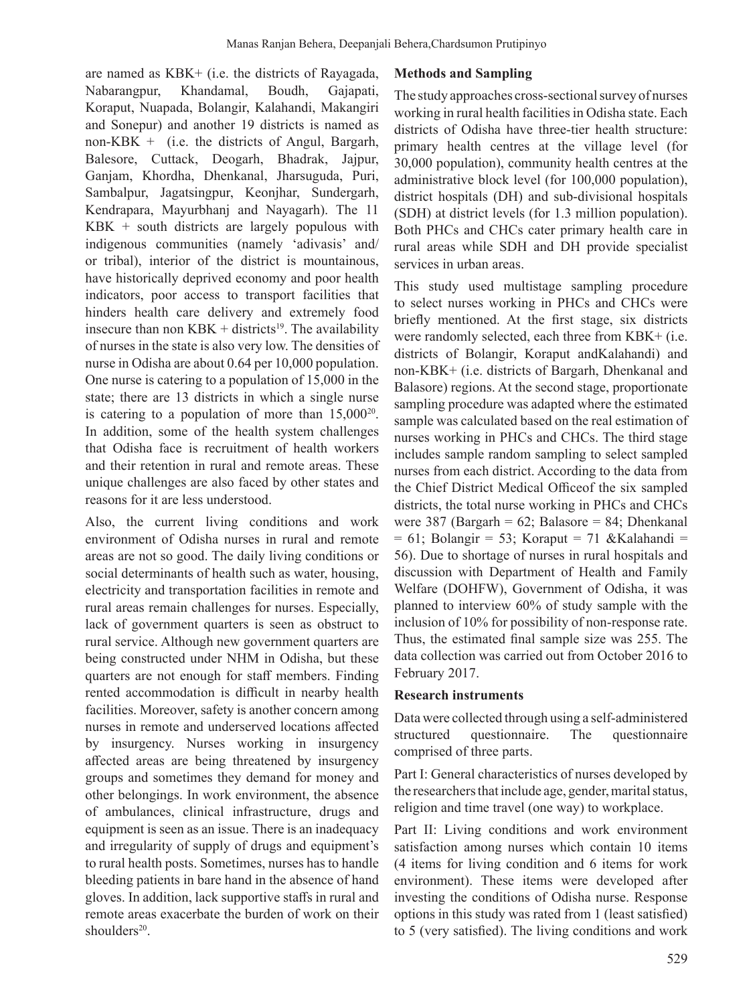are named as KBK+ (i.e. the districts of Rayagada, Nabarangpur, Khandamal, Boudh, Gajapati, Koraput, Nuapada, Bolangir, Kalahandi, Makangiri and Sonepur) and another 19 districts is named as non-KBK + (i.e. the districts of Angul, Bargarh, Balesore, Cuttack, Deogarh, Bhadrak, Jajpur, Ganjam, Khordha, Dhenkanal, Jharsuguda, Puri, Sambalpur, Jagatsingpur, Keonjhar, Sundergarh, Kendrapara, Mayurbhanj and Nayagarh). The 11  $KBK + south$  districts are largely populous with indigenous communities (namely 'adivasis' and/ or tribal), interior of the district is mountainous, have historically deprived economy and poor health indicators, poor access to transport facilities that hinders health care delivery and extremely food insecure than non  $KBK + districts^{19}$ . The availability of nurses in the state is also very low. The densities of nurse in Odisha are about 0.64 per 10,000 population. One nurse is catering to a population of 15,000 in the state; there are 13 districts in which a single nurse is catering to a population of more than  $15,000^{20}$ . In addition, some of the health system challenges that Odisha face is recruitment of health workers and their retention in rural and remote areas. These unique challenges are also faced by other states and reasons for it are less understood.

Also, the current living conditions and work environment of Odisha nurses in rural and remote areas are not so good. The daily living conditions or social determinants of health such as water, housing, electricity and transportation facilities in remote and rural areas remain challenges for nurses. Especially, lack of government quarters is seen as obstruct to rural service. Although new government quarters are being constructed under NHM in Odisha, but these quarters are not enough for staff members. Finding rented accommodation is difficult in nearby health facilities. Moreover, safety is another concern among nurses in remote and underserved locations affected by insurgency. Nurses working in insurgency affected areas are being threatened by insurgency groups and sometimes they demand for money and other belongings. In work environment, the absence of ambulances, clinical infrastructure, drugs and equipment is seen as an issue. There is an inadequacy and irregularity of supply of drugs and equipment's to rural health posts. Sometimes, nurses has to handle bleeding patients in bare hand in the absence of hand gloves. In addition, lack supportive staffs in rural and remote areas exacerbate the burden of work on their shoulders<sup>20</sup>.

#### **Methods and Sampling**

The study approaches cross-sectional survey of nurses working in rural health facilities in Odisha state. Each districts of Odisha have three-tier health structure: primary health centres at the village level (for 30,000 population), community health centres at the administrative block level (for 100,000 population), district hospitals (DH) and sub-divisional hospitals (SDH) at district levels (for 1.3 million population). Both PHCs and CHCs cater primary health care in rural areas while SDH and DH provide specialist services in urban areas.

This study used multistage sampling procedure to select nurses working in PHCs and CHCs were briefly mentioned. At the first stage, six districts were randomly selected, each three from KBK+ (i.e. districts of Bolangir, Koraput andKalahandi) and non-KBK+ (i.e. districts of Bargarh, Dhenkanal and Balasore) regions. At the second stage, proportionate sampling procedure was adapted where the estimated sample was calculated based on the real estimation of nurses working in PHCs and CHCs. The third stage includes sample random sampling to select sampled nurses from each district. According to the data from the Chief District Medical Officeof the six sampled districts, the total nurse working in PHCs and CHCs were 387 (Bargarh =  $62$ ; Balasore = 84; Dhenkanal  $= 61$ ; Bolangir = 53; Koraput = 71 &Kalahandi = 56). Due to shortage of nurses in rural hospitals and discussion with Department of Health and Family Welfare (DOHFW), Government of Odisha, it was planned to interview 60% of study sample with the inclusion of 10% for possibility of non-response rate. Thus, the estimated final sample size was 255. The data collection was carried out from October 2016 to February 2017.

#### **Research instruments**

Data were collected through using a self-administered structured questionnaire. The questionnaire comprised of three parts.

Part I: General characteristics of nurses developed by the researchers that include age, gender, marital status, religion and time travel (one way) to workplace.

Part II: Living conditions and work environment satisfaction among nurses which contain 10 items (4 items for living condition and 6 items for work environment). These items were developed after investing the conditions of Odisha nurse. Response options in this study was rated from 1 (least satisfied) to 5 (very satisfied). The living conditions and work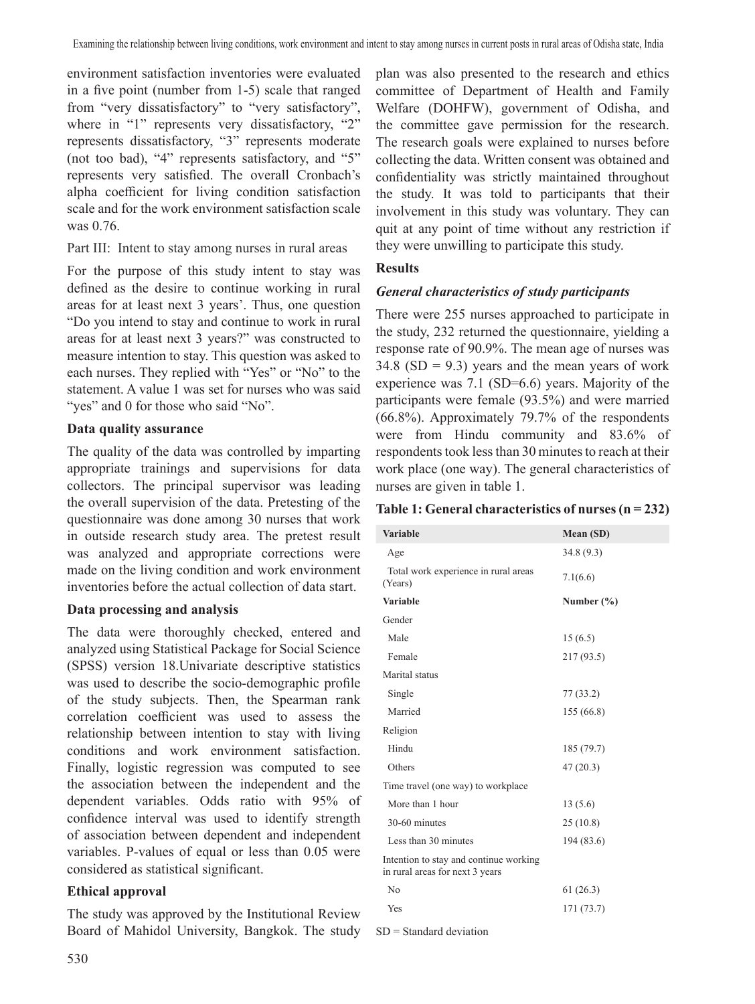environment satisfaction inventories were evaluated in a five point (number from 1-5) scale that ranged from "very dissatisfactory" to "very satisfactory", where in "1" represents very dissatisfactory, "2" represents dissatisfactory, "3" represents moderate (not too bad), "4" represents satisfactory, and "5" represents very satisfied. The overall Cronbach's alpha coefficient for living condition satisfaction scale and for the work environment satisfaction scale was 0.76.

Part III: Intent to stay among nurses in rural areas

For the purpose of this study intent to stay was defined as the desire to continue working in rural areas for at least next 3 years'. Thus, one question "Do you intend to stay and continue to work in rural areas for at least next 3 years?" was constructed to measure intention to stay. This question was asked to each nurses. They replied with "Yes" or "No" to the statement. A value 1 was set for nurses who was said "yes" and 0 for those who said "No".

#### **Data quality assurance**

The quality of the data was controlled by imparting appropriate trainings and supervisions for data collectors. The principal supervisor was leading the overall supervision of the data. Pretesting of the questionnaire was done among 30 nurses that work in outside research study area. The pretest result was analyzed and appropriate corrections were made on the living condition and work environment inventories before the actual collection of data start.

# **Data processing and analysis**

The data were thoroughly checked, entered and analyzed using Statistical Package for Social Science (SPSS) version 18.Univariate descriptive statistics was used to describe the socio-demographic profile of the study subjects. Then, the Spearman rank correlation coefficient was used to assess the relationship between intention to stay with living conditions and work environment satisfaction. Finally, logistic regression was computed to see the association between the independent and the dependent variables. Odds ratio with 95% of confidence interval was used to identify strength of association between dependent and independent variables. P-values of equal or less than 0.05 were considered as statistical significant.

# **Ethical approval**

The study was approved by the Institutional Review Board of Mahidol University, Bangkok. The study SD = Standard deviation

plan was also presented to the research and ethics committee of Department of Health and Family Welfare (DOHFW), government of Odisha, and the committee gave permission for the research. The research goals were explained to nurses before collecting the data. Written consent was obtained and confidentiality was strictly maintained throughout the study. It was told to participants that their involvement in this study was voluntary. They can quit at any point of time without any restriction if they were unwilling to participate this study.

#### **Results**

#### *General characteristics of study participants*

There were 255 nurses approached to participate in the study, 232 returned the questionnaire, yielding a response rate of 90.9%. The mean age of nurses was  $34.8$  (SD = 9.3) years and the mean years of work experience was 7.1 (SD=6.6) years. Majority of the participants were female (93.5%) and were married (66.8%). Approximately 79.7% of the respondents were from Hindu community and 83.6% of respondents took less than 30 minutes to reach at their work place (one way). The general characteristics of nurses are given in table 1.

#### **Table 1: General characteristics of nurses (n = 232)**

| <b>Variable</b>                                                           | Mean (SD)      |
|---------------------------------------------------------------------------|----------------|
| Age                                                                       | 34.8 (9.3)     |
| Total work experience in rural areas<br>(Years)                           | 7.1(6.6)       |
| Variable                                                                  | Number $(\% )$ |
| Gender                                                                    |                |
| Male                                                                      | 15(6.5)        |
| Female                                                                    | 217 (93.5)     |
| Marital status                                                            |                |
| Single                                                                    | 77(33.2)       |
| Married                                                                   | 155 (66.8)     |
| Religion                                                                  |                |
| Hindu                                                                     | 185 (79.7)     |
| Others                                                                    | 47(20.3)       |
| Time travel (one way) to workplace                                        |                |
| More than 1 hour                                                          | 13(5.6)        |
| 30-60 minutes                                                             | 25(10.8)       |
| Less than 30 minutes                                                      | 194 (83.6)     |
| Intention to stay and continue working<br>in rural areas for next 3 years |                |
| No                                                                        | 61(26.3)       |
| Yes                                                                       | 171 (73.7)     |
|                                                                           |                |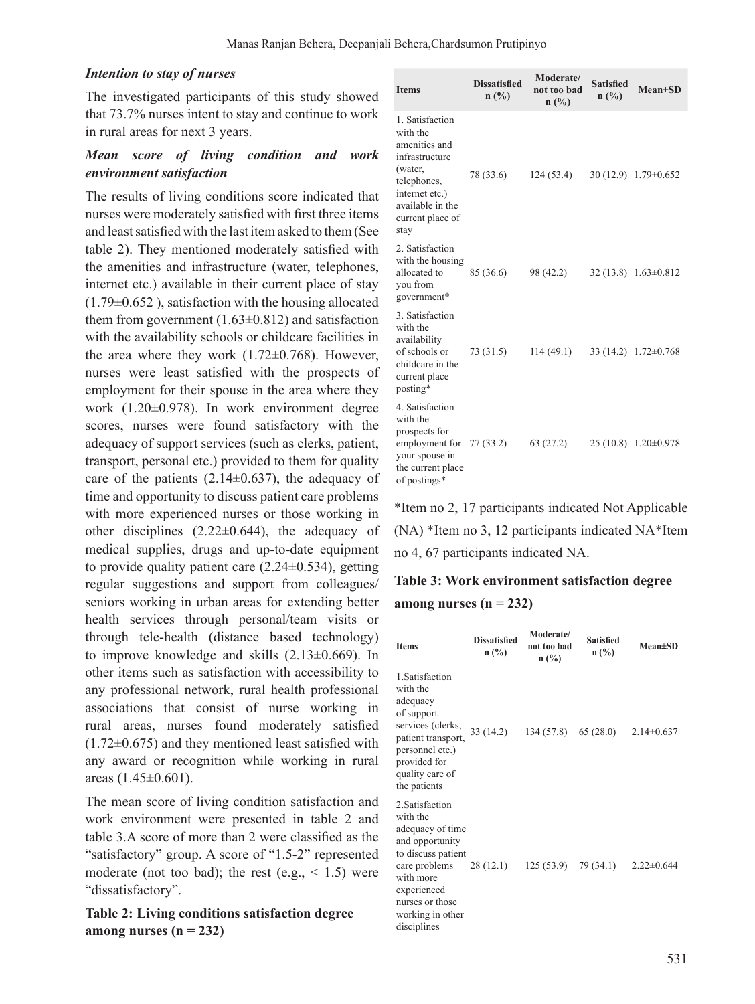#### *Intention to stay of nurses*

The investigated participants of this study showed that 73.7% nurses intent to stay and continue to work in rural areas for next 3 years.

#### *Mean score of living condition and work environment satisfaction*

The results of living conditions score indicated that nurses were moderately satisfied with first three items and least satisfied with the last item asked to them (See table 2). They mentioned moderately satisfied with the amenities and infrastructure (water, telephones, internet etc.) available in their current place of stay  $(1.79\pm0.652)$ , satisfaction with the housing allocated them from government  $(1.63\pm0.812)$  and satisfaction with the availability schools or childcare facilities in the area where they work  $(1.72\pm0.768)$ . However, nurses were least satisfied with the prospects of employment for their spouse in the area where they work (1.20±0.978). In work environment degree scores, nurses were found satisfactory with the adequacy of support services (such as clerks, patient, transport, personal etc.) provided to them for quality care of the patients  $(2.14\pm0.637)$ , the adequacy of time and opportunity to discuss patient care problems with more experienced nurses or those working in other disciplines  $(2.22\pm0.644)$ , the adequacy of medical supplies, drugs and up-to-date equipment to provide quality patient care  $(2.24\pm 0.534)$ , getting regular suggestions and support from colleagues/ seniors working in urban areas for extending better health services through personal/team visits or through tele-health (distance based technology) to improve knowledge and skills (2.13±0.669). In other items such as satisfaction with accessibility to any professional network, rural health professional associations that consist of nurse working in rural areas, nurses found moderately satisfied  $(1.72\pm0.675)$  and they mentioned least satisfied with any award or recognition while working in rural areas (1.45±0.601).

The mean score of living condition satisfaction and work environment were presented in table 2 and table 3.A score of more than 2 were classified as the "satisfactory" group. A score of "1.5-2" represented moderate (not too bad); the rest (e.g.,  $\leq 1.5$ ) were "dissatisfactory".

**Table 2: Living conditions satisfaction degree among nurses (n = 232)**

| <b>Items</b>                                                                                                                                               | <b>Dissatisfied</b><br>$n(^{0}/_{0})$ | Moderate/<br>not too bad<br>$n(^{0}/_{0})$ | <b>Satisfied</b><br>$n(^{0}/_{0})$ | <b>Mean±SD</b>              |
|------------------------------------------------------------------------------------------------------------------------------------------------------------|---------------------------------------|--------------------------------------------|------------------------------------|-----------------------------|
| 1. Satisfaction<br>with the<br>amenities and<br>infrastructure<br>(water,<br>telephones,<br>internet etc.)<br>available in the<br>current place of<br>stay | 78 (33.6)                             | 124(53.4)                                  |                                    | 30 (12.9) $1.79 \pm 0.652$  |
| 2. Satisfaction<br>with the housing<br>allocated to<br>you from<br>government*                                                                             | 85 (36.6)                             | 98 (42.2)                                  |                                    | 32 (13.8) $1.63 \pm 0.812$  |
| 3. Satisfaction<br>with the<br>availability<br>of schools or<br>childcare in the<br>current place<br>posting*                                              | 73 (31.5)                             | 114(49.1)                                  |                                    | 33 (14.2) 1.72±0.768        |
| 4. Satisfaction<br>with the<br>prospects for<br>employment for<br>your spouse in<br>the current place<br>of postings*                                      | 77(33.2)                              | 63 (27.2)                                  |                                    | $25(10.8)$ 1.20 $\pm$ 0.978 |

\*Item no 2, 17 participants indicated Not Applicable (NA) \*Item no 3, 12 participants indicated NA\*Item no 4, 67 participants indicated NA.

# **Table 3: Work environment satisfaction degree among nurses (n = 232)**

| <b>Items</b>                                                                                                                                                                                | <b>Dissatisfied</b><br>$n$ (%) | Moderate/<br>not too bad<br>$n$ (%) | <b>Satisfied</b><br>$n\left(\frac{0}{0}\right)$ | $Mean \pm SD$    |
|---------------------------------------------------------------------------------------------------------------------------------------------------------------------------------------------|--------------------------------|-------------------------------------|-------------------------------------------------|------------------|
| 1. Satisfaction<br>with the<br>adequacy<br>of support<br>services (clerks,<br>patient transport,<br>personnel etc.)<br>provided for<br>quality care of<br>the patients                      | 33(14.2)                       | 134(57.8)                           | 65 (28.0)                                       | $2.14 \pm 0.637$ |
| 2. Satisfaction<br>with the<br>adequacy of time<br>and opportunity<br>to discuss patient<br>care problems<br>with more<br>experienced<br>nurses or those<br>working in other<br>disciplines | 28(12.1)                       | $125(53.9)$ 79 (34.1)               |                                                 | $2.22 \pm 0.644$ |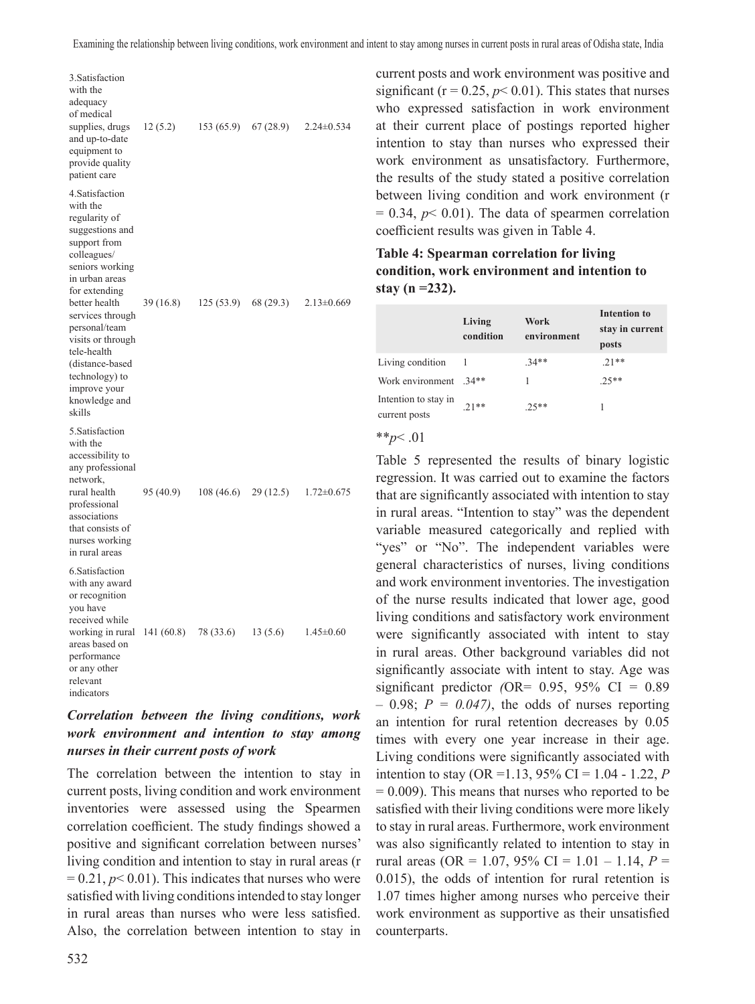3.Satisfaction with the adequacy of medical supplies, drugs and up-to-date equipment to provide quality patient care 12 (5.2) 153 (65.9) 67 (28.9) 2.24±0.534 4.Satisfaction with the regularity of suggestions and support from colleagues/ seniors working in urban areas for extending better health services through personal/team visits or through tele-health (distance-based technology) to improve your knowledge and skills 39 (16.8) 125 (53.9) 68 (29.3) 2.13±0.669 5.Satisfaction with the accessibility to any professional network, rural health professional associations that consists of nurses working in rural areas 95 (40.9) 108 (46.6) 29 (12.5) 1.72±0.675 6.Satisfaction with any award or recognition you have received while working in rural 141 (60.8) 78 (33.6) 13 (5.6) 1.45±0.60 areas based on performance or any other relevant indicators

# *Correlation between the living conditions, work work environment and intention to stay among nurses in their current posts of work*

The correlation between the intention to stay in current posts, living condition and work environment inventories were assessed using the Spearmen correlation coefficient. The study findings showed a positive and significant correlation between nurses' living condition and intention to stay in rural areas (r  $= 0.21, p < 0.01$ ). This indicates that nurses who were satisfied with living conditions intended to stay longer in rural areas than nurses who were less satisfied. Also, the correlation between intention to stay in current posts and work environment was positive and significant ( $r = 0.25$ ,  $p < 0.01$ ). This states that nurses who expressed satisfaction in work environment at their current place of postings reported higher intention to stay than nurses who expressed their work environment as unsatisfactory. Furthermore, the results of the study stated a positive correlation between living condition and work environment (r  $= 0.34$ ,  $p < 0.01$ ). The data of spearmen correlation coefficient results was given in Table 4.

#### **Table 4: Spearman correlation for living condition, work environment and intention to stay (n =232).**

|                                       | Living<br>condition | Work<br>environment | <b>Intention to</b><br>stay in current<br>posts |
|---------------------------------------|---------------------|---------------------|-------------------------------------------------|
| Living condition                      |                     | $.34**$             | $21**$                                          |
| <b>Work environment</b> .34**         |                     |                     | $25**$                                          |
| Intention to stay in<br>current posts | $21**$              | $25**$              |                                                 |
| $\cdots$                              |                     |                     |                                                 |

\*\**p*< .01

Table 5 represented the results of binary logistic regression. It was carried out to examine the factors that are significantly associated with intention to stay in rural areas. "Intention to stay" was the dependent variable measured categorically and replied with "yes" or "No". The independent variables were general characteristics of nurses, living conditions and work environment inventories. The investigation of the nurse results indicated that lower age, good living conditions and satisfactory work environment were significantly associated with intent to stay in rural areas. Other background variables did not significantly associate with intent to stay. Age was significant predictor *(*OR= 0.95, 95% CI = 0.89  $-$  0.98;  $P = 0.047$ , the odds of nurses reporting an intention for rural retention decreases by 0.05 times with every one year increase in their age. Living conditions were significantly associated with intention to stay (OR = 1.13, 95% CI = 1.04 - 1.22, *P*  $= 0.009$ ). This means that nurses who reported to be satisfied with their living conditions were more likely to stay in rural areas. Furthermore, work environment was also significantly related to intention to stay in rural areas (OR = 1.07, 95% CI = 1.01 – 1.14,  $P =$ 0.015), the odds of intention for rural retention is 1.07 times higher among nurses who perceive their work environment as supportive as their unsatisfied counterparts.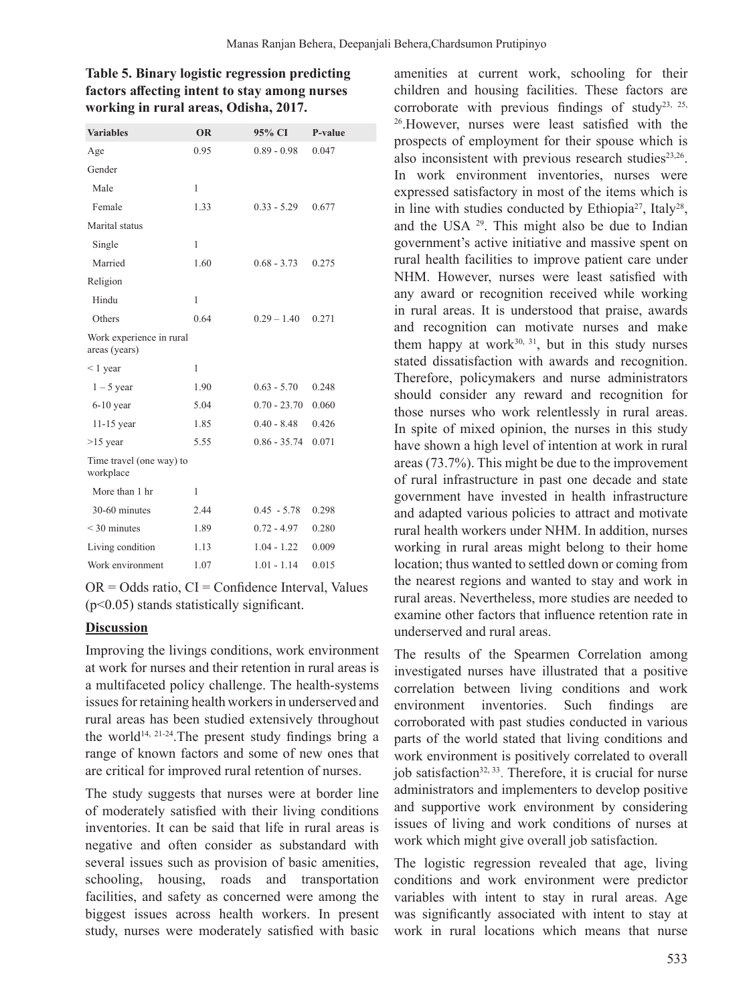| Table 5. Binary logistic regression predicting |
|------------------------------------------------|
| factors affecting intent to stay among nurses  |
| working in rural areas, Odisha, 2017.          |

| <b>Variables</b>                          | <b>OR</b> | 95% CI         | P-value |
|-------------------------------------------|-----------|----------------|---------|
| Age                                       | 0.95      | $0.89 - 0.98$  | 0.047   |
| Gender                                    |           |                |         |
| Male                                      | 1         |                |         |
| Female                                    | 1.33      | $0.33 - 5.29$  | 0.677   |
| Marital status                            |           |                |         |
| Single                                    | 1         |                |         |
| Married                                   | 1.60      | $0.68 - 3.73$  | 0.275   |
| Religion                                  |           |                |         |
| Hindu                                     | 1         |                |         |
| Others                                    | 0.64      | $0.29 - 1.40$  | 0.271   |
| Work experience in rural<br>areas (years) |           |                |         |
| $\leq 1$ year                             | 1         |                |         |
| $1 - 5$ year                              | 1.90      | $0.63 - 5.70$  | 0.248   |
| $6-10$ year                               | 5.04      | $0.70 - 23.70$ | 0.060   |
| $11-15$ year                              | 1.85      | $0.40 - 8.48$  | 0.426   |
| $>15$ year                                | 5.55      | $0.86 - 35.74$ | 0.071   |
| Time travel (one way) to<br>workplace     |           |                |         |
| More than 1 hr                            | 1         |                |         |
| 30-60 minutes                             | 2.44      | $0.45 - 5.78$  | 0.298   |
| $<$ 30 minutes                            | 1.89      | $0.72 - 4.97$  | 0.280   |
| Living condition                          | 1.13      | $1.04 - 1.22$  | 0.009   |
| Work environment                          | 1.07      | $1.01 - 1.14$  | 0.015   |
|                                           |           |                |         |

 $OR = Odds$  ratio,  $CI = Confidence Interval$ , Values (p<0.05) stands statistically significant.

#### **Discussion**

Improving the livings conditions, work environment at work for nurses and their retention in rural areas is a multifaceted policy challenge. The health-systems issues for retaining health workers in underserved and rural areas has been studied extensively throughout the world<sup>14, 21-24</sup>. The present study findings bring a range of known factors and some of new ones that are critical for improved rural retention of nurses.

The study suggests that nurses were at border line of moderately satisfied with their living conditions inventories. It can be said that life in rural areas is negative and often consider as substandard with several issues such as provision of basic amenities, schooling, housing, roads and transportation facilities, and safety as concerned were among the biggest issues across health workers. In present study, nurses were moderately satisfied with basic amenities at current work, schooling for their children and housing facilities. These factors are corroborate with previous findings of study<sup>23, 25,</sup> 26.However, nurses were least satisfied with the prospects of employment for their spouse which is also inconsistent with previous research studies $23,26$ . In work environment inventories, nurses were expressed satisfactory in most of the items which is in line with studies conducted by Ethiopia<sup>27</sup>, Italy<sup>28</sup>, and the USA 29. This might also be due to Indian government's active initiative and massive spent on rural health facilities to improve patient care under NHM. However, nurses were least satisfied with any award or recognition received while working in rural areas. It is understood that praise, awards and recognition can motivate nurses and make them happy at work $30, 31$ , but in this study nurses stated dissatisfaction with awards and recognition. Therefore, policymakers and nurse administrators should consider any reward and recognition for those nurses who work relentlessly in rural areas. In spite of mixed opinion, the nurses in this study have shown a high level of intention at work in rural areas (73.7%). This might be due to the improvement of rural infrastructure in past one decade and state government have invested in health infrastructure and adapted various policies to attract and motivate rural health workers under NHM. In addition, nurses working in rural areas might belong to their home location; thus wanted to settled down or coming from the nearest regions and wanted to stay and work in rural areas. Nevertheless, more studies are needed to examine other factors that influence retention rate in underserved and rural areas.

The results of the Spearmen Correlation among investigated nurses have illustrated that a positive correlation between living conditions and work environment inventories. Such findings are corroborated with past studies conducted in various parts of the world stated that living conditions and work environment is positively correlated to overall job satisfaction<sup>32, 33</sup>. Therefore, it is crucial for nurse administrators and implementers to develop positive and supportive work environment by considering issues of living and work conditions of nurses at work which might give overall job satisfaction.

The logistic regression revealed that age, living conditions and work environment were predictor variables with intent to stay in rural areas. Age was significantly associated with intent to stay at work in rural locations which means that nurse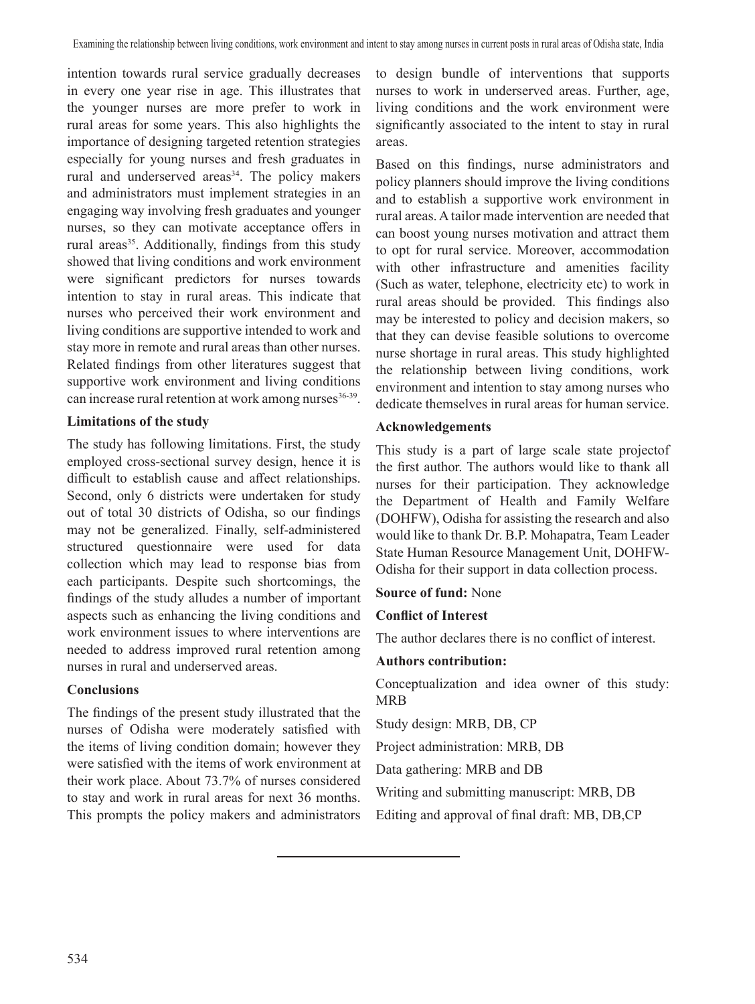intention towards rural service gradually decreases in every one year rise in age. This illustrates that the younger nurses are more prefer to work in rural areas for some years. This also highlights the importance of designing targeted retention strategies especially for young nurses and fresh graduates in rural and underserved areas<sup>34</sup>. The policy makers and administrators must implement strategies in an engaging way involving fresh graduates and younger nurses, so they can motivate acceptance offers in rural areas<sup>35</sup>. Additionally, findings from this study showed that living conditions and work environment were significant predictors for nurses towards intention to stay in rural areas. This indicate that nurses who perceived their work environment and living conditions are supportive intended to work and stay more in remote and rural areas than other nurses. Related findings from other literatures suggest that supportive work environment and living conditions can increase rural retention at work among nurses $36-39$ .

# **Limitations of the study**

The study has following limitations. First, the study employed cross-sectional survey design, hence it is difficult to establish cause and affect relationships. Second, only 6 districts were undertaken for study out of total 30 districts of Odisha, so our findings may not be generalized. Finally, self-administered structured questionnaire were used for data collection which may lead to response bias from each participants. Despite such shortcomings, the findings of the study alludes a number of important aspects such as enhancing the living conditions and work environment issues to where interventions are needed to address improved rural retention among nurses in rural and underserved areas.

# **Conclusions**

The findings of the present study illustrated that the nurses of Odisha were moderately satisfied with the items of living condition domain; however they were satisfied with the items of work environment at their work place. About 73.7% of nurses considered to stay and work in rural areas for next 36 months. This prompts the policy makers and administrators to design bundle of interventions that supports nurses to work in underserved areas. Further, age, living conditions and the work environment were significantly associated to the intent to stay in rural areas.

Based on this findings, nurse administrators and policy planners should improve the living conditions and to establish a supportive work environment in rural areas. A tailor made intervention are needed that can boost young nurses motivation and attract them to opt for rural service. Moreover, accommodation with other infrastructure and amenities facility (Such as water, telephone, electricity etc) to work in rural areas should be provided. This findings also may be interested to policy and decision makers, so that they can devise feasible solutions to overcome nurse shortage in rural areas. This study highlighted the relationship between living conditions, work environment and intention to stay among nurses who dedicate themselves in rural areas for human service.

#### **Acknowledgements**

This study is a part of large scale state projectof the first author. The authors would like to thank all nurses for their participation. They acknowledge the Department of Health and Family Welfare (DOHFW), Odisha for assisting the research and also would like to thank Dr. B.P. Mohapatra, Team Leader State Human Resource Management Unit, DOHFW-Odisha for their support in data collection process.

# **Source of fund:** None

#### **Conflict of Interest**

The author declares there is no conflict of interest.

#### **Authors contribution:**

Conceptualization and idea owner of this study: MRB

Study design: MRB, DB, CP

Project administration: MRB, DB

Data gathering: MRB and DB

Writing and submitting manuscript: MRB, DB

Editing and approval of final draft: MB, DB,CP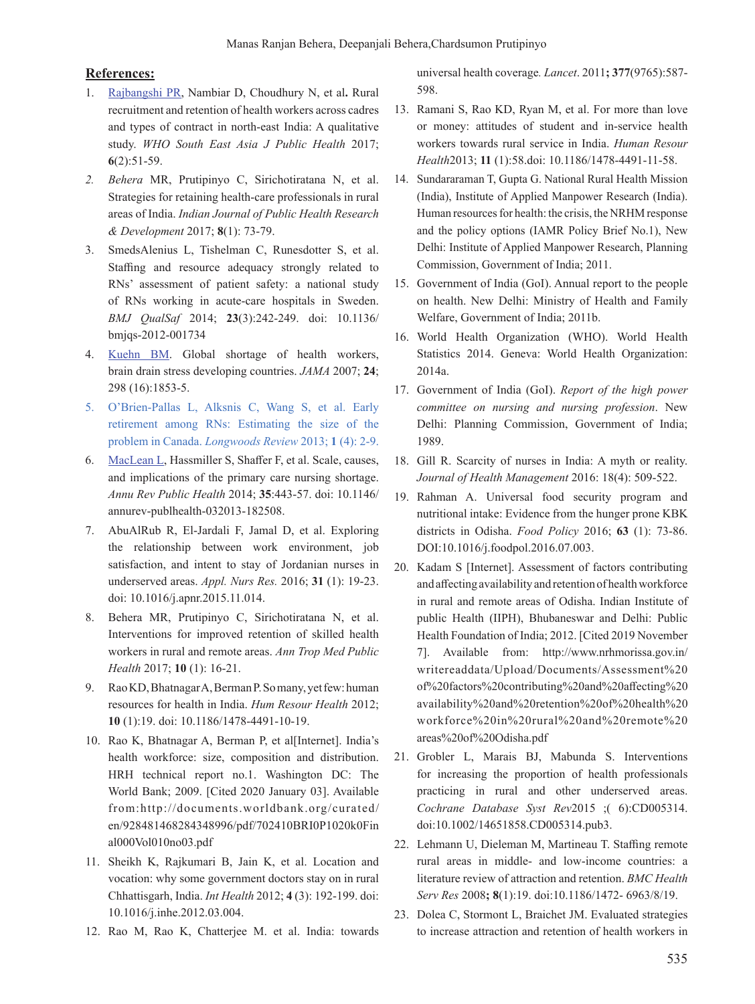#### **References:**

- 1. Rajbangshi PR, Nambiar D, Choudhury N, et al**.** Rural recruitment and retention of health workers across cadres and types of contract in north-east India: A qualitative study. *WHO South East Asia J Public Health* 2017; **6**(2):51-59.
- *2. Behera* MR, Prutipinyo C, Sirichotiratana N, et al. Strategies for retaining health-care professionals in rural areas of India. *Indian Journal of Public Health Research & Development* 2017; **8**(1): 73-79.
- 3. SmedsAlenius L, Tishelman C, Runesdotter S, et al. Staffing and resource adequacy strongly related to RNs' assessment of patient safety: a national study of RNs working in acute-care hospitals in Sweden. *BMJ QualSaf* 2014; **23**(3):242-249. doi: 10.1136/ bmjqs-2012-001734
- 4. Kuehn BM. Global shortage of health workers, brain drain stress developing countries. *JAMA* 2007; **24**; 298 (16):1853-5.
- 5. O'Brien-Pallas L, Alksnis C, Wang S, et al. Early retirement among RNs: Estimating the size of the problem in Canada. *Longwoods Review* 2013; **1** (4): 2-9.
- 6. MacLean L, Hassmiller S, Shaffer F, et al. Scale, causes, and implications of the primary care nursing shortage. *Annu Rev Public Health* 2014; **35**:443-57. doi: 10.1146/ annurev-publhealth-032013-182508.
- 7. AbuAlRub R, El-Jardali F, Jamal D, et al. Exploring the relationship between work environment, job satisfaction, and intent to stay of Jordanian nurses in underserved areas. *Appl. Nurs Res.* 2016; **31** (1): 19-23. doi: 10.1016/j.apnr.2015.11.014.
- 8. Behera MR, Prutipinyo C, Sirichotiratana N, et al. Interventions for improved retention of skilled health workers in rural and remote areas. *Ann Trop Med Public Health* 2017; **10** (1): 16-21.
- 9. Rao KD, Bhatnagar A, Berman P. Somany, yet few: human resources for health in India. *Hum Resour Health* 2012; **10** (1):19. doi: 10.1186/1478-4491-10-19.
- 10. Rao K, Bhatnagar A, Berman P, et al[Internet]. India's health workforce: size, composition and distribution. HRH technical report no.1. Washington DC: The World Bank; 2009. [Cited 2020 January 03]. Available from:http://documents.worldbank.org/curated/ en/928481468284348996/pdf/702410BRI0P1020k0Fin al000Vol010no03.pdf
- 11. Sheikh K, Rajkumari B, Jain K, et al. Location and vocation: why some government doctors stay on in rural Chhattisgarh, India. *Int Health* 2012; **4** (3): 192-199. doi: 10.1016/j.inhe.2012.03.004.
- 12. Rao M, Rao K, Chatterjee M. et al. India: towards

universal health coverage*. Lancet*. 2011**; 377**(9765):587- 598.

- 13. Ramani S, Rao KD, Ryan M, et al. For more than love or money: attitudes of student and in-service health workers towards rural service in India. *Human Resour Health*2013; **11** (1):58.doi: 10.1186/1478-4491-11-58.
- 14. Sundararaman T, Gupta G. National Rural Health Mission (India), Institute of Applied Manpower Research (India). Human resources for health: the crisis, the NRHM response and the policy options (IAMR Policy Brief No.1), New Delhi: Institute of Applied Manpower Research, Planning Commission, Government of India; 2011.
- 15. Government of India (GoI). Annual report to the people on health. New Delhi: Ministry of Health and Family Welfare, Government of India; 2011b.
- 16. World Health Organization (WHO). World Health Statistics 2014. Geneva: World Health Organization: 2014a.
- 17. Government of India (GoI). *Report of the high power committee on nursing and nursing profession*. New Delhi: Planning Commission, Government of India; 1989.
- 18. Gill R. Scarcity of nurses in India: A myth or reality. *Journal of Health Management* 2016: 18(4): 509-522.
- 19. Rahman A. Universal food security program and nutritional intake: Evidence from the hunger prone KBK districts in Odisha. *Food Policy* 2016; **63** (1): 73-86. DOI:10.1016/j.foodpol.2016.07.003.
- 20. Kadam S [Internet]. Assessment of factors contributing and affecting availability and retention of health workforce in rural and remote areas of Odisha. Indian Institute of public Health (IIPH), Bhubaneswar and Delhi: Public Health Foundation of India; 2012. [Cited 2019 November 7]. Available from: http://www.nrhmorissa.gov.in/ writereaddata/Upload/Documents/Assessment%20 of%20factors%20contributing%20and%20affecting%20 availability%20and%20retention%20of%20health%20 workforce%20in%20rural%20and%20remote%20 areas%20of%20Odisha.pdf
- 21. Grobler L, Marais BJ, Mabunda S. Interventions for increasing the proportion of health professionals practicing in rural and other underserved areas. *Cochrane Database Syst Rev*2015 ;( 6):CD005314. doi:10.1002/14651858.CD005314.pub3.
- 22. Lehmann U, Dieleman M, Martineau T. Staffing remote rural areas in middle- and low-income countries: a literature review of attraction and retention. *BMC Health Serv Res* 2008**; 8**(1):19. doi:10.1186/1472- 6963/8/19.
- 23. Dolea C, Stormont L, Braichet JM. Evaluated strategies to increase attraction and retention of health workers in